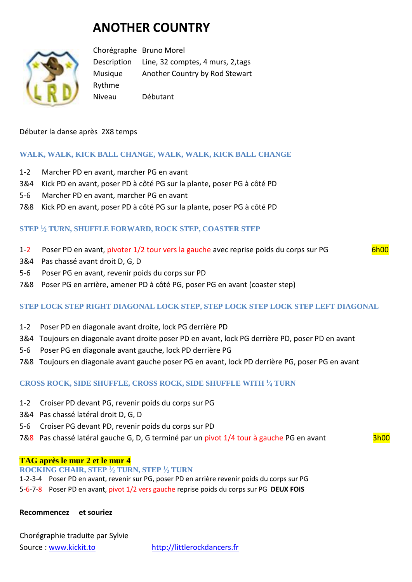# **ANOTHER COUNTRY**



Chorégraphe Bruno Morel Description Line, 32 comptes, 4 murs, 2,tags Musique Another Country by Rod Stewart Rythme Niveau Débutant

Débuter la danse après 2X8 temps

# **WALK, WALK, KICK BALL CHANGE, WALK, WALK, KICK BALL CHANGE**

- 1-2 Marcher PD en avant, marcher PG en avant
- 3&4 Kick PD en avant, poser PD à côté PG sur la plante, poser PG à côté PD
- 5-6 Marcher PD en avant, marcher PG en avant
- 7&8 Kick PD en avant, poser PD à côté PG sur la plante, poser PG à côté PD

## **STEP <sup>1</sup> ⁄<sup>2</sup> TURN, SHUFFLE FORWARD, ROCK STEP, COASTER STEP**

- 1-2 Poser PD en avant, pivoter 1/2 tour vers la gauche avec reprise poids du corps sur PG 6h00
- 3&4 Pas chassé avant droit D, G, D
- 5-6 Poser PG en avant, revenir poids du corps sur PD
- 7&8 Poser PG en arrière, amener PD à côté PG, poser PG en avant (coaster step)

## **STEP LOCK STEP RIGHT DIAGONAL LOCK STEP, STEP LOCK STEP LOCK STEP LEFT DIAGONAL**

- 1-2 Poser PD en diagonale avant droite, lock PG derrière PD
- 3&4 Toujours en diagonale avant droite poser PD en avant, lock PG derrière PD, poser PD en avant
- 5-6 Poser PG en diagonale avant gauche, lock PD derrière PG
- 7&8 Toujours en diagonale avant gauche poser PG en avant, lock PD derrière PG, poser PG en avant

## **CROSS ROCK, SIDE SHUFFLE, CROSS ROCK, SIDE SHUFFLE WITH <sup>1</sup> ⁄<sup>4</sup> TURN**

- 1-2 Croiser PD devant PG, revenir poids du corps sur PG
- 3&4 Pas chassé latéral droit D, G, D
- 5-6 Croiser PG devant PD, revenir poids du corps sur PD
- 7&8 Pas chassé latéral gauche G, D, G terminé par un pivot 1/4 tour à gauche PG en avant 3h00

#### **TAG après le mur 2 et le mur 4**

**ROCKING CHAIR, STEP <sup>1</sup> ⁄<sup>2</sup> TURN, STEP <sup>1</sup> ⁄<sup>2</sup> TURN** 1-2-3-4 Poser PD en avant, revenir sur PG, poser PD en arrière revenir poids du corps sur PG 5-6-7-8 Poser PD en avant, pivot 1/2 vers gauche reprise poids du corps sur PG **DEUX FOIS**

#### **Recommencez et souriez**

| Chorégraphie traduite par Sylvie |               |
|----------------------------------|---------------|
| Source: www.kickit.to            | http://little |